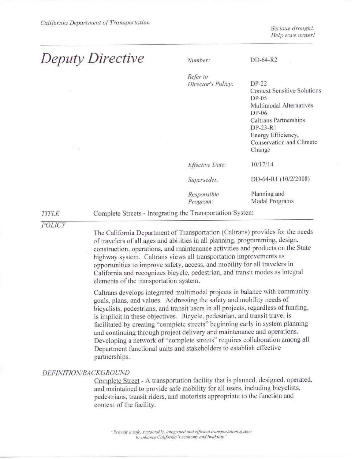Serious drought. Help save water!

# **Deputy Directive**

 $DD-64-R2$ Number: Refer to Director's Policy: DP-22 **Context Sensitive Solutions**  $DP-05$ Multimodal Alternatives  $DP-06$ Caltrans Partnerships DP-23-R1 Energy Efficiency, Conservation and Climate Change 10/17/14 **Effective Date:** DD-64-R1 (10/2/2008) Supersedes: Planning and Responsible Modal Programs Program:

#### Complete Streets - Integrating the Transportation System

**POLICY** 

**TITLE** 

The California Department of Transportation (Caltrans) provides for the needs of travelers of all ages and abilities in all planning, programming, design, construction, operations, and maintenance activities and products on the State highway system. Caltrans views all transportation improvements as opportunities to improve safety, access, and mobility for all travelers in California and recognizes bicycle, pedestrian, and transit modes as integral elements of the transportation system.

Caltrans develops integrated multimodal projects in balance with community goals, plans, and values. Addressing the safety and mobility needs of bicyclists, pedestrians, and transit users in all projects, regardless of funding, is implicit in these objectives. Bicycle, pedestrian, and transit travel is facilitated by creating "complete streets" beginning early in system planning and continuing through project delivery and maintenance and operations. Developing a network of "complete streets" requires collaboration among all Department functional units and stakeholders to establish effective partnerships.

### DEFINITION/BACKGROUND

Complete Street - A transportation facility that is planned, designed, operated, and maintained to provide safe mobility for all users, including bicyclists, pedestrians, transit riders, and motorists appropriate to the function and context of the facility.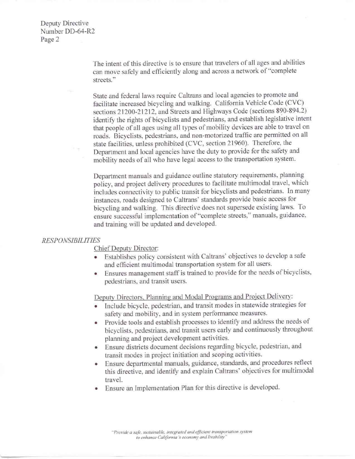Deputy Directive Number DD-64-R2 Page 2

> The intent of this directive is to ensure that travelers of all ages and abilities can move safely and efficiently along and across a network of "complete streets."

State and federal laws require Caltrans and local agencies to promote and facilitate increased bicycling and walking. California Vehicle Code (CVC) sections 21200-21212, and Streets and Highways Code (sections 890-894.2) identify the rights of bicyclists and pedestrians, and establish legislative intent that people of all ages using all types of mobility devices are able to travel on roads. Bicyclists, pedestrians. and non-motorized traffic are permitted on all state facilities, unless prohibited (CVC, section 21960). Therefore, the Department and local agencies have the duty to provide for the safety and mobility needs of all who have legal access to the transportation system.

Department manuals and guidance outline statutory requirements. planning policy, and project delivery procedures to facilitate multimodal travel. which includes connectivity to public transit for bicyclists and pedestrians. ln many instances, roads designed to Caltrans' standards provide basic access for bicycling and walking. This directive does not supersede existing Jaws. To ensure successful implementation of "complete streets," manuals, guidance, and training will be updated and developed.

#### *RESPONSIBILITIES*

Chief Deputy Director:

- Establishes policy consistent with Caltrans' objectives to develop a safe and efficient multimodal transportation system for all users.
- Ensures management staff is trained to provide for the needs of bicyclists. pedestrians. and transit users.

Deputy Directors, Planning and Modal Programs and Project Delivery:

- Include bicycle. pedestrian. and transit modes in statewide strategies for safety and mobility, and in system performance measures. •
- Provide tools and establish processes to identify and address the needs of bicyclists, pedestrians, and transit users early and continuously throughout planning and project development activities.  $\bullet$
- Ensure districts document decisions regarding bicycle, pedestrian. and transit modes in project initiation and scoping activities.  $\bullet$
- Ensure departmental manuals. guidance. standards, and procedures reflect this directive, and identify and explain Caltrans' objectives for multimodal travel.  $\bullet$
- Ensure an Implementation Plan for this directive is developed.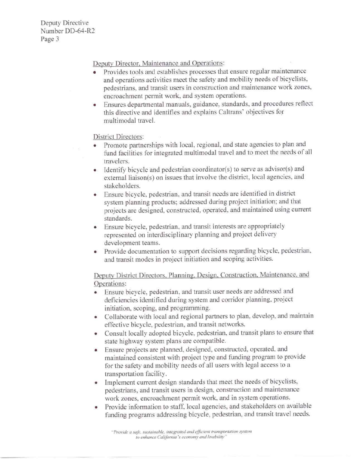Deputy Directive Nwnber DD-64-R2 Page 3

Deputy Director. Maintenance and Operations:

- Provides tools and establishes processes that ensure regular maintenance and operations activities meet the safety and mobility needs of bicyclists. pedestrians, and transit users in construction and maintenance work zones. encroachment permit work, and system operations.
- Ensures departmental manuals. guidance, standards, and procedures reflect this directive and identities and explains Caltrans' objectives for multimodal travel.

## District Directors:

- Promote partnerships with local, regional. and state agencies to plan and fund facilities for integrated multimodal travel and to meet the needs of all travelers.
- Identify bicycle and pedestrian coordinator(s) to serve as advisor(s) and external liaison(s) on issues that involve the district. local agencies, and stakeholders.
- Ensure bicycle. pedestrian, and transit needs are identified in district system planning products: addressed during project initiation; and that projects are designed. constructed. operated. and maintained using current standards.
- Ensure bicycle. pedestrian, and transit interests are appropriately represented on interdisciplinary planning and project delivery development teams.
- Provide documentation to support decisions regarding bicycle, pedestrian, and transit modes in project initiation and scoping activities.

Deputy District Directors. Planning. Design. Construction. Maintenance, and Operations:

- Ensure bicycle, pedestrian. and transit user needs are addressed and deficiencies identified during syslem and corridor planning. project initiation. scoping, and programming.
- Collaborate with local and regional partners to plan. develop, and maintain effective bicycle, pedestrian, and transit networks.
- Consult locally adopted bicycle, pedestrian. and transit plans to ensure that state highway system plans are compatible.
- Ensure projects are planned. designed, constructed, operated. and maintained consistent with project type and fundjng program to provide for the safety and mobility needs of all users with legal access to a transportation facility.
- Implement current design standards that meet the needs of bicyclists, pedestrians. and transit users in design, construction and maintenance work zones, encroachment permit work. and in system operations.
- Provide infonnation to staff. local agencies. and stakeholders on available funding programs addressing bicycle, pedestrian, and transit travel needs.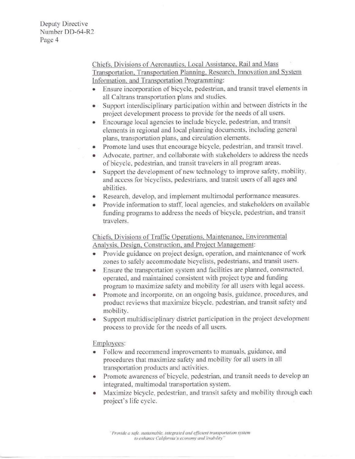Deputy Directive Number DD-64-R2 Page 4

> Chiefs, Divisions of Aeronautics, Local Assistance, Rail and Mass Transportation. Transportation Planning. Research. Innovation and Svstem Jnformation. and Transportation Programming:

- Ensure incorporation of bicycle, pedestrian, and transit travel elements in all Caltrans transportation plans and studies.
- Support interdisciplinary participation wirhin and between districts in the project development process to provide for the needs of all users.
- Encourage local agencies to include bicycle. pedestrian, and transit elements in regional and local planning documents. including general plans, transportation plans. and circulation elements.
- Promote land uses that encourage bicycle. pedestrian, and transit travel.
- Advocate, partner, and collaborate with stakeholders to address the needs of bicycle. pedestrian. and transit travelers in all program areas.
- Support the development of new technology to improve safety, mobility, and access for bicyclists. pedestrians. and transit users of all ages and abilities.
- Research, develop, and implement multimodal performance measures.
- Provide information to staff, local agencies, and stakeholders on available funding programs to address the needs of bicycle. pedestrian. and transit travelers.

Chiefs. Divisions of Traffic Operations, Maintenance, Environmental Analysis, Design, Construction, and Project Management:

- Provide guidance on project design, operation. and maintenance of work zones to safely accommodate bicyclists. pedestrians. and transit users.
- Ensure the transportation system and facilities are planned. constructed . operated. and maintained consistent with project type and funding program to maximize safety and mobility for all users with legal access. •
- Promote and incorporate, on an ongoing basis, guidance, procedures, and product reviews that maximize bicycle. pedestrian, and transit safety and mobility. •
- Support multidisciplinary district participation in the project development process to provide for the needs of all users. •

Emplovees:

- Follow and recommend improvements to manuals, guidance. and procedures that maximize safety and mobility for all users in all transportation products and activities.
- Promote awareness of bicycle, pedestrian, and transit needs to develop an integrated, multimodal transportation system.
- Maximize bicycle. pedestrian, and transit safety and mobility through each project's life cycle.